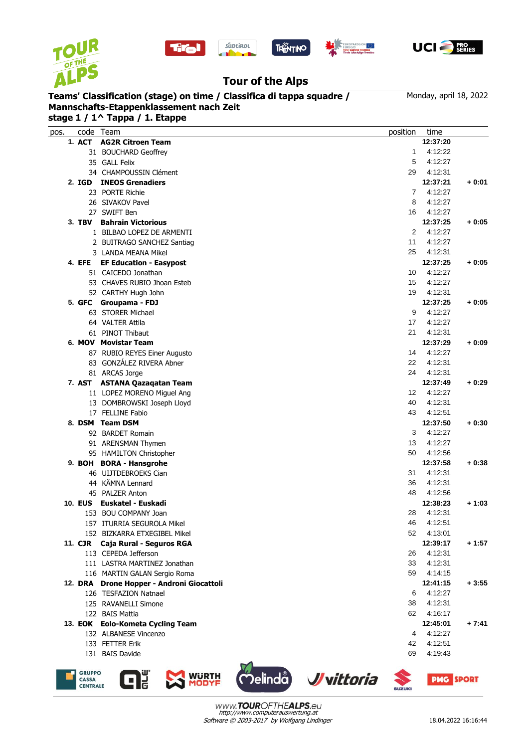





REGION**IANA**<br>Irol Trentino



## **Tour of the Alps**

## **Mannschafts-Etappenklassement nach Zeit**

| Teams' Classification (stage) on time / Classifica di tappa squadre /<br>Mannschafts-Etappenklassement nach Zeit<br>stage 1 / 1^ Tappa / 1. Etappe |                                | Monday, april 18, 2022 |          |         |
|----------------------------------------------------------------------------------------------------------------------------------------------------|--------------------------------|------------------------|----------|---------|
| code<br>pos.                                                                                                                                       | Team                           | position               | time     |         |
| 1. ACT                                                                                                                                             | <b>AG2R Citroen Team</b>       |                        | 12:37:20 |         |
|                                                                                                                                                    | 31 BOUCHARD Geoffrey           | 1                      | 4:12:22  |         |
|                                                                                                                                                    | 35 GALL Felix                  | 5                      | 4:12:27  |         |
|                                                                                                                                                    | 34 CHAMPOUSSIN Clément         | 29                     | 4:12:31  |         |
| 2. IGD                                                                                                                                             | <b>INEOS Grenadiers</b>        |                        | 12:37:21 | $+0:01$ |
|                                                                                                                                                    | 23 PORTE Richie                | 7                      | 4:12:27  |         |
|                                                                                                                                                    | 26 SIVAKOV Pavel               | 8                      | 4:12:27  |         |
|                                                                                                                                                    | 27 SWIFT Ben                   | 16                     | 4:12:27  |         |
| 3. TBV                                                                                                                                             | <b>Bahrain Victorious</b>      |                        | 12:37:25 | $+0:05$ |
|                                                                                                                                                    | 1 BILBAO LOPEZ DE ARMENTI      | 2                      | 4:12:27  |         |
|                                                                                                                                                    | 2 BUITRAGO SANCHEZ Santiag     | 11                     | 4:12:27  |         |
|                                                                                                                                                    | 3 LANDA MEANA Mikel            | 25                     | 4:12:31  |         |
| 4. EFE                                                                                                                                             | <b>EF Education - Easypost</b> |                        | 12:37:25 | $+0:05$ |
|                                                                                                                                                    | 51 CAICEDO Jonathan            | 10                     | 4:12:27  |         |
|                                                                                                                                                    | 53 CHAVES RUBIO Jhoan Esteb    | 15                     | 4:12:27  |         |
|                                                                                                                                                    | 52 CARTHY Hugh John            | 19                     | 4:12:31  |         |
| 5. GFC                                                                                                                                             | Groupama - FDJ                 |                        | 12:37:25 | $+0:05$ |
|                                                                                                                                                    | 63 STORER Michael              | 9                      | 4:12:27  |         |
|                                                                                                                                                    | 64 VALTER Attila               | 17                     | 4:12:27  |         |
|                                                                                                                                                    | 61 PINOT Thibaut               | 21                     | 4:12:31  |         |

## **6. MOV Movistar Team 12:37:29 + 0:09** 87 RUBIO REYES Einer Augusto 14 4:12:27

|                | 83 GONZÁLEZ RIVERA Abner     | 22 | 4:12:31  |         |
|----------------|------------------------------|----|----------|---------|
|                | 81 ARCAS Jorge               | 24 | 4:12:31  |         |
| <b>7. AST</b>  | <b>ASTANA Qazagatan Team</b> |    | 12:37:49 | + 0:29  |
|                | 11 LOPEZ MORENO Miquel Ang   | 12 | 4:12:27  |         |
|                | 13 DOMBROWSKI Joseph Lloyd   | 40 | 4:12:31  |         |
| 17             | FELLINE Fabio                | 43 | 4:12:51  |         |
| 8. DSM         | <b>Team DSM</b>              |    | 12:37:50 | + 0:30  |
|                | 92 BARDET Romain             | 3  | 4:12:27  |         |
| 91             | <b>ARENSMAN Thymen</b>       | 13 | 4:12:27  |         |
|                | 95 HAMILTON Christopher      | 50 | 4:12:56  |         |
|                | 9. BOH BORA - Hansgrohe      |    | 12:37:58 | $+0:38$ |
|                | 46 ULJTDEBROEKS Cian         | 31 | 4:12:31  |         |
|                | 44 KÄMNA Lennard             | 36 | 4:12:31  |         |
| 45             | <b>PALZER Anton</b>          | 48 | 4:12:56  |         |
| <b>10. EUS</b> | Euskatel - Euskadi           |    | 12:38:23 | + 1:03  |
| 153            | <b>BOU COMPANY Joan</b>      | 28 | 4:12:31  |         |













www.TOUROFTHEALPS.eu http://www.computerauswertung.at Software © 2003-2017 by Wolfgang Lindinger